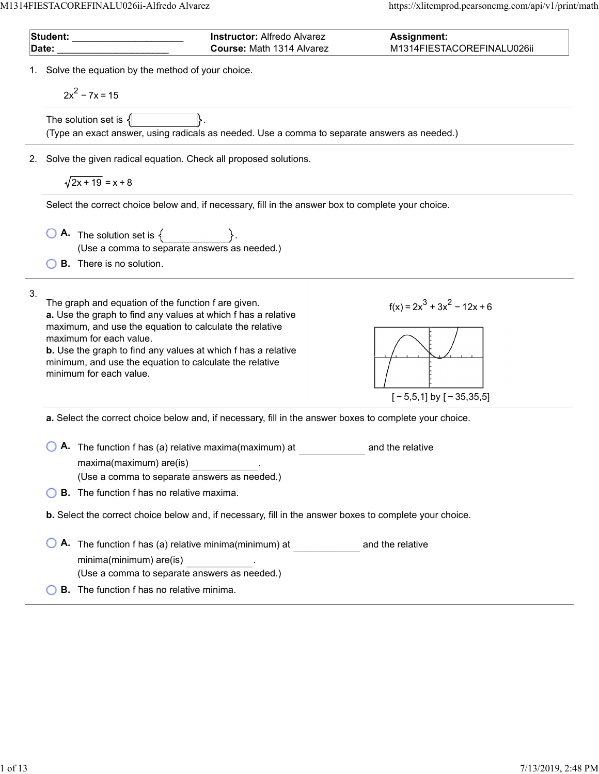$\overline{a}$ 

 $\overline{a}$ 

| Student: with the state of the state of the state of the state of the state of the state of the state of the s |                                                                                                                                                                                                                                                                                                                                                                          | <b>Instructor: Alfredo Alvarez</b>                                                                             | <b>Assignment:</b>                                           |  |  |  |  |  |
|----------------------------------------------------------------------------------------------------------------|--------------------------------------------------------------------------------------------------------------------------------------------------------------------------------------------------------------------------------------------------------------------------------------------------------------------------------------------------------------------------|----------------------------------------------------------------------------------------------------------------|--------------------------------------------------------------|--|--|--|--|--|
| Date:                                                                                                          |                                                                                                                                                                                                                                                                                                                                                                          | Course: Math 1314 Alvarez                                                                                      | M1314FIESTACOREFINALU026ii                                   |  |  |  |  |  |
|                                                                                                                | 1. Solve the equation by the method of your choice.<br>$2x^2 - 7x = 15$                                                                                                                                                                                                                                                                                                  |                                                                                                                |                                                              |  |  |  |  |  |
|                                                                                                                | The solution set is $\{$                                                                                                                                                                                                                                                                                                                                                 | (Type an exact answer, using radicals as needed. Use a comma to separate answers as needed.)                   |                                                              |  |  |  |  |  |
|                                                                                                                | 2. Solve the given radical equation. Check all proposed solutions.                                                                                                                                                                                                                                                                                                       |                                                                                                                |                                                              |  |  |  |  |  |
|                                                                                                                | $\sqrt{2x+19}$ = x + 8                                                                                                                                                                                                                                                                                                                                                   |                                                                                                                |                                                              |  |  |  |  |  |
|                                                                                                                |                                                                                                                                                                                                                                                                                                                                                                          | Select the correct choice below and, if necessary, fill in the answer box to complete your choice.             |                                                              |  |  |  |  |  |
|                                                                                                                | $\begin{array}{ c c c }\n\hline\n\bullet\end{array}$ The solution set is $\{\begin{array}{ c c }\n\hline\n\end{array}\}$ .                                                                                                                                                                                                                                               | (Use a comma to separate answers as needed.)                                                                   |                                                              |  |  |  |  |  |
|                                                                                                                | <b>B.</b> There is no solution.                                                                                                                                                                                                                                                                                                                                          |                                                                                                                |                                                              |  |  |  |  |  |
| 3.                                                                                                             | The graph and equation of the function f are given.<br>a. Use the graph to find any values at which f has a relative<br>maximum, and use the equation to calculate the relative<br>maximum for each value.<br><b>b.</b> Use the graph to find any values at which f has a relative<br>minimum, and use the equation to calculate the relative<br>minimum for each value. |                                                                                                                | $f(x) = 2x^3 + 3x^2 - 12x + 6$<br>$[-5,5,1]$ by $[-35,35,5]$ |  |  |  |  |  |
|                                                                                                                |                                                                                                                                                                                                                                                                                                                                                                          | a. Select the correct choice below and, if necessary, fill in the answer boxes to complete your choice.        |                                                              |  |  |  |  |  |
|                                                                                                                | maxima(maximum) are(is)                                                                                                                                                                                                                                                                                                                                                  | A. The function f has (a) relative maxima(maximum) at<br>(Use a comma to separate answers as needed.)          | and the relative                                             |  |  |  |  |  |
|                                                                                                                | <b>B.</b> The function f has no relative maxima.                                                                                                                                                                                                                                                                                                                         |                                                                                                                |                                                              |  |  |  |  |  |
|                                                                                                                |                                                                                                                                                                                                                                                                                                                                                                          | <b>b.</b> Select the correct choice below and, if necessary, fill in the answer boxes to complete your choice. |                                                              |  |  |  |  |  |
|                                                                                                                | minima(minimum) are(is)                                                                                                                                                                                                                                                                                                                                                  | A. The function f has (a) relative minima(minimum) at                                                          | and the relative                                             |  |  |  |  |  |
|                                                                                                                |                                                                                                                                                                                                                                                                                                                                                                          | (Use a comma to separate answers as needed.)                                                                   |                                                              |  |  |  |  |  |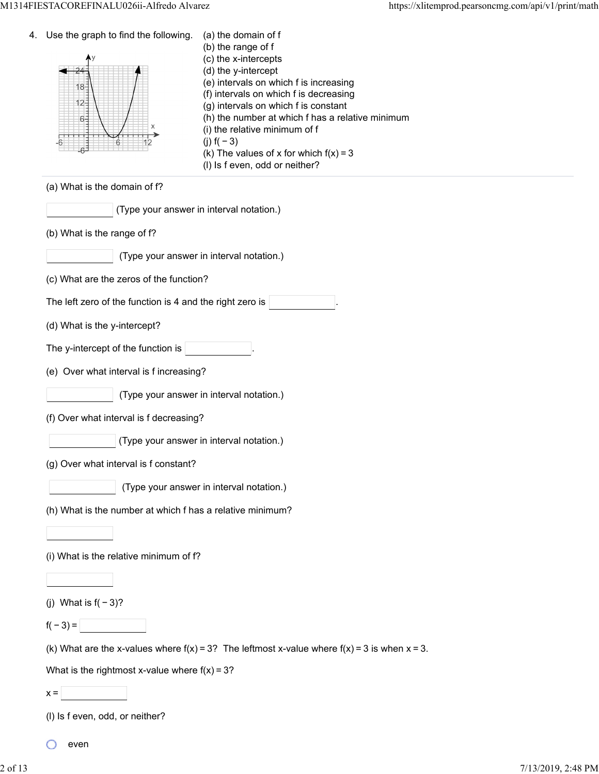| 4. | Use the graph to find the following.<br>$18 -$<br>$12 -$<br>$6 -$<br>6 | (a) the domain of f<br>(b) the range of f<br>(c) the x-intercepts<br>(d) the y-intercept<br>(e) intervals on which f is increasing<br>(f) intervals on which f is decreasing<br>(g) intervals on which f is constant<br>(h) the number at which f has a relative minimum<br>(i) the relative minimum of f<br>(j) $f(-3)$<br>(k) The values of x for which $f(x) = 3$<br>(I) Is f even, odd or neither? |
|----|------------------------------------------------------------------------|--------------------------------------------------------------------------------------------------------------------------------------------------------------------------------------------------------------------------------------------------------------------------------------------------------------------------------------------------------------------------------------------------------|
|    | (a) What is the domain of f?                                           |                                                                                                                                                                                                                                                                                                                                                                                                        |
|    | (Type your answer in interval notation.)                               |                                                                                                                                                                                                                                                                                                                                                                                                        |
|    | (b) What is the range of f?                                            |                                                                                                                                                                                                                                                                                                                                                                                                        |
|    |                                                                        | (Type your answer in interval notation.)                                                                                                                                                                                                                                                                                                                                                               |
|    | (c) What are the zeros of the function?                                |                                                                                                                                                                                                                                                                                                                                                                                                        |
|    | The left zero of the function is 4 and the right zero is               |                                                                                                                                                                                                                                                                                                                                                                                                        |
|    | (d) What is the y-intercept?                                           |                                                                                                                                                                                                                                                                                                                                                                                                        |
|    | The y-intercept of the function is                                     |                                                                                                                                                                                                                                                                                                                                                                                                        |
|    | (e) Over what interval is f increasing?                                |                                                                                                                                                                                                                                                                                                                                                                                                        |
|    |                                                                        | (Type your answer in interval notation.)                                                                                                                                                                                                                                                                                                                                                               |
|    | (f) Over what interval is f decreasing?                                |                                                                                                                                                                                                                                                                                                                                                                                                        |
|    |                                                                        | (Type your answer in interval notation.)                                                                                                                                                                                                                                                                                                                                                               |
|    | (g) Over what interval is f constant?                                  |                                                                                                                                                                                                                                                                                                                                                                                                        |
|    |                                                                        | (Type your answer in interval notation.)                                                                                                                                                                                                                                                                                                                                                               |
|    | (h) What is the number at which f has a relative minimum?              |                                                                                                                                                                                                                                                                                                                                                                                                        |
|    |                                                                        |                                                                                                                                                                                                                                                                                                                                                                                                        |
|    | (i) What is the relative minimum of f?                                 |                                                                                                                                                                                                                                                                                                                                                                                                        |
|    |                                                                        |                                                                                                                                                                                                                                                                                                                                                                                                        |
|    | (j) What is $f(-3)$ ?                                                  |                                                                                                                                                                                                                                                                                                                                                                                                        |
|    | $f(-3) =$<br><b>Contract Contract</b>                                  |                                                                                                                                                                                                                                                                                                                                                                                                        |
|    |                                                                        | (k) What are the x-values where $f(x) = 3$ ? The leftmost x-value where $f(x) = 3$ is when $x = 3$ .                                                                                                                                                                                                                                                                                                   |
|    | What is the rightmost x-value where $f(x) = 3$ ?                       |                                                                                                                                                                                                                                                                                                                                                                                                        |
|    | $x =$                                                                  |                                                                                                                                                                                                                                                                                                                                                                                                        |
|    | (I) Is f even, odd, or neither?                                        |                                                                                                                                                                                                                                                                                                                                                                                                        |

even

O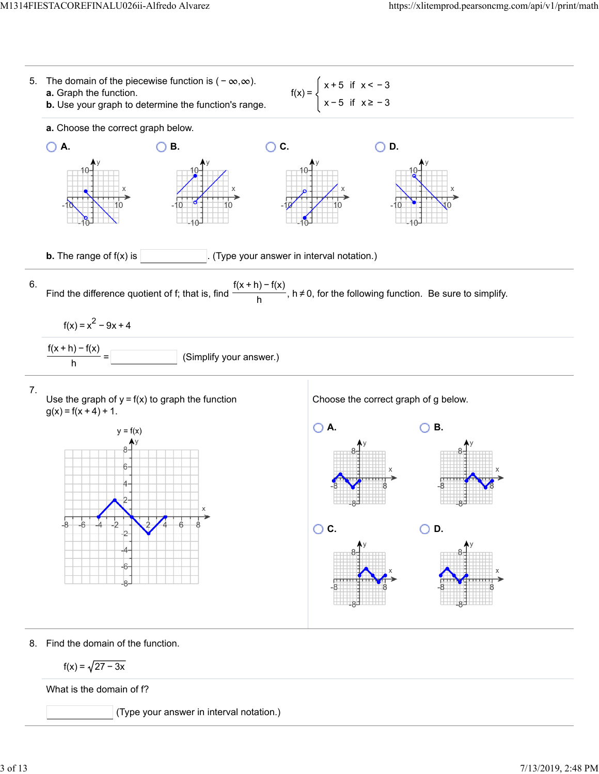

 $f(x) = \sqrt{27 - 3x}$ 

What is the domain of f?

(Type your answer in interval notation.)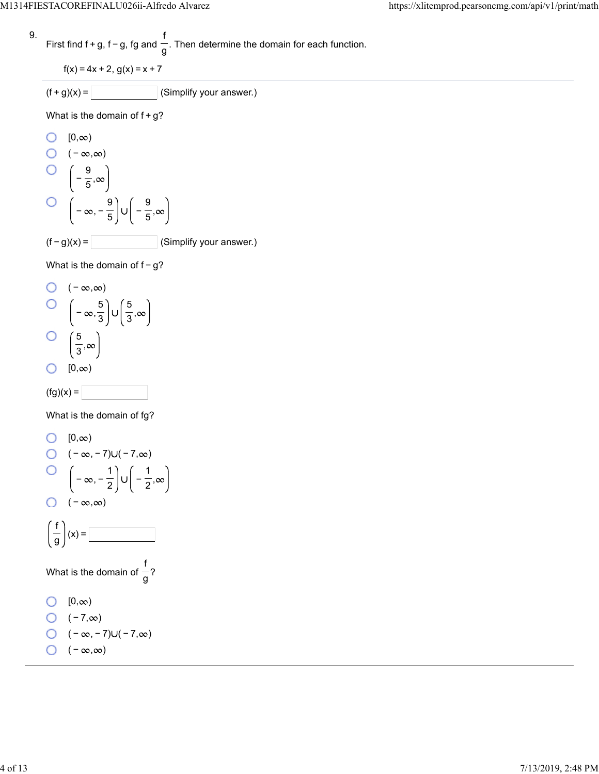9. First find 
$$
f + g
$$
,  $f - g$ ,  $fg$  and  $\frac{f}{g}$ . Then determine the domain for each function.

$$
f(x) = 4x + 2, g(x) = x + 7
$$

$$
(f+g)(x) = \boxed{\qquad \qquad} \text{(Simplify your answer.)}
$$

What is the domain of  $f+g$ ?

O [0,
$$
\infty
$$
)  
O (- $\infty$ , $\infty$ )  
O  $\left(-\frac{9}{5}, \infty\right)$   
O  $\left(-\infty, -\frac{9}{5}\right) \cup \left(-\frac{9}{5}, \infty\right)$   
(f - g)(x) =   
 (Simplify your answer.)

What is the domain of  $f-g$ ?

 $\bigcirc$  ( − ∞,∞)  $-\infty, \frac{5}{3}\bigg\cup \left(\frac{5}{3},\right)$ 5 3  $\circ$ 5 , 3  $\bigcirc$   $[0, \infty)$ 



What is the domain of fg?

0 [0,
$$
\infty
$$
)  
\n0 (- $\infty$ , -7)U(-7, $\infty$ )  
\n0 (- $\infty$ , - $\frac{1}{2}$ )U(- $\frac{1}{2}$ , $\infty$ )  
\n0 (- $\infty$ , $\infty$ )  
\n  
\n  
\nWhat is the domain of  $\frac{f}{g}$ ?  
\n0 [0, $\infty$ )  
\n0 (-7, $\infty$ )  
\n0 (- $\infty$ , -7)U(-7, $\infty$ )  
\n0 (- $\infty$ , $\infty$ )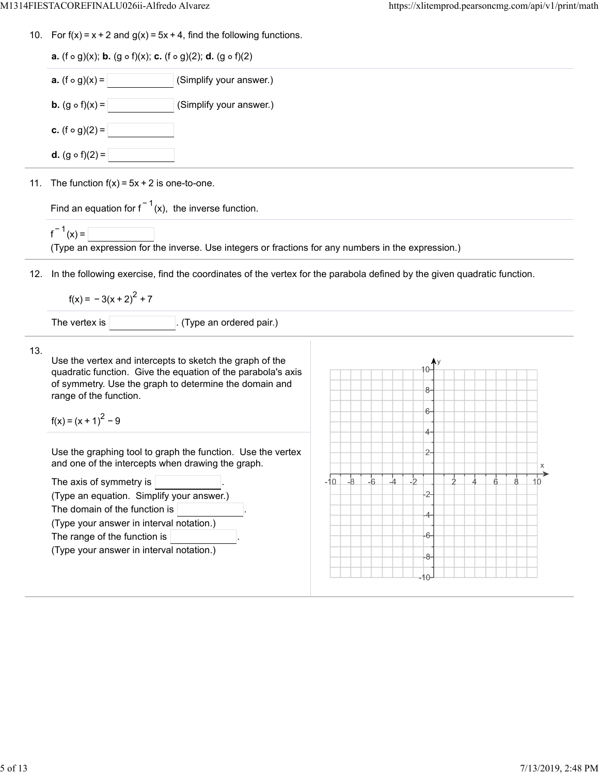|            | <b>a.</b> (f $\circ$ g)(x); <b>b.</b> (g $\circ$ f)(x); <b>c.</b> (f $\circ$ g)(2); <b>d.</b> (g $\circ$ f)(2)          |  |           |      |      |      |                |  |  |   |   |         |
|------------|-------------------------------------------------------------------------------------------------------------------------|--|-----------|------|------|------|----------------|--|--|---|---|---------|
|            |                                                                                                                         |  |           |      |      |      |                |  |  |   |   |         |
|            | <b>a.</b> $(f \circ g)(x) =$<br>(Simplify your answer.)                                                                 |  |           |      |      |      |                |  |  |   |   |         |
|            | <b>b.</b> $(g \circ f)(x) =$<br>(Simplify your answer.)                                                                 |  |           |      |      |      |                |  |  |   |   |         |
|            | <b>c.</b> $(f \circ g)(2) =$                                                                                            |  |           |      |      |      |                |  |  |   |   |         |
|            | <b>d.</b> $(g \circ f)(2) =$                                                                                            |  |           |      |      |      |                |  |  |   |   |         |
|            | 11. The function $f(x) = 5x + 2$ is one-to-one.                                                                         |  |           |      |      |      |                |  |  |   |   |         |
|            | Find an equation for $f^{-1}(x)$ , the inverse function.                                                                |  |           |      |      |      |                |  |  |   |   |         |
|            | $f^{-1}(x) =$<br>(Type an expression for the inverse. Use integers or fractions for any numbers in the expression.)     |  |           |      |      |      |                |  |  |   |   |         |
|            | In the following exercise, find the coordinates of the vertex for the parabola defined by the given quadratic function. |  |           |      |      |      |                |  |  |   |   |         |
|            |                                                                                                                         |  |           |      |      |      |                |  |  |   |   |         |
|            | $f(x) = -3(x + 2)^{2} + 7$                                                                                              |  |           |      |      |      |                |  |  |   |   |         |
|            | The vertex is<br>(Type an ordered pair.)                                                                                |  |           |      |      |      |                |  |  |   |   |         |
|            | Use the vertex and intercepts to sketch the graph of the                                                                |  |           |      |      |      |                |  |  |   |   |         |
|            | quadratic function. Give the equation of the parabola's axis<br>of symmetry. Use the graph to determine the domain and  |  |           |      |      |      | 8-             |  |  |   |   |         |
|            | range of the function.                                                                                                  |  |           |      |      |      | 6-             |  |  |   |   |         |
|            | $f(x) = (x + 1)^{2} - 9$                                                                                                |  |           |      |      |      | 4.             |  |  |   |   |         |
| 12.<br>13. | Use the graphing tool to graph the function. Use the vertex                                                             |  |           |      |      |      | $\overline{c}$ |  |  |   |   |         |
|            | and one of the intercepts when drawing the graph.<br>The axis of symmetry is                                            |  | $-10 - 8$ | $-6$ | $-4$ | $-2$ |                |  |  | 6 | 8 | Χ<br>10 |
|            | (Type an equation. Simplify your answer.)                                                                               |  |           |      |      |      | -2-            |  |  |   |   |         |
|            | The domain of the function is                                                                                           |  |           |      |      |      | -4             |  |  |   |   |         |
|            | (Type your answer in interval notation.)                                                                                |  |           |      |      |      |                |  |  |   |   |         |
|            | The range of the function is                                                                                            |  |           |      |      |      | -6-            |  |  |   |   |         |
|            | (Type your answer in interval notation.)                                                                                |  |           |      |      |      | -8-            |  |  |   |   |         |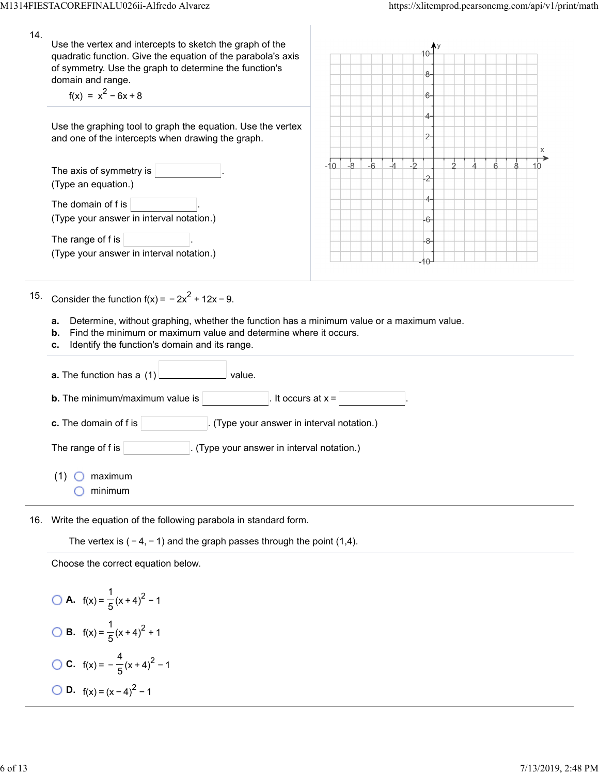| 14. | Use the vertex and intercepts to sketch the graph of the<br>quadratic function. Give the equation of the parabola's axis<br>of symmetry. Use the graph to determine the function's<br>domain and range.<br>$f(x) = x^2 - 6x + 8$                                                     | 8-<br>6-                                          |
|-----|--------------------------------------------------------------------------------------------------------------------------------------------------------------------------------------------------------------------------------------------------------------------------------------|---------------------------------------------------|
|     | Use the graphing tool to graph the equation. Use the vertex<br>and one of the intercepts when drawing the graph.                                                                                                                                                                     | 4.<br>$2-$                                        |
|     | The axis of symmetry is $ $<br>(Type an equation.)                                                                                                                                                                                                                                   | -4<br>$\overline{b}$<br>-10<br>$-8$<br>$-6$<br>10 |
|     | The domain of f is<br>(Type your answer in interval notation.)                                                                                                                                                                                                                       | 6-                                                |
|     | The range of f is<br>(Type your answer in interval notation.)                                                                                                                                                                                                                        | 8-<br>$\theta$                                    |
| 15. | Consider the function $f(x) = -2x^2 + 12x - 9$ .<br>Determine, without graphing, whether the function has a minimum value or a maximum value.<br>a.<br>Find the minimum or maximum value and determine where it occurs.<br>b.<br>Identify the function's domain and its range.<br>c. |                                                   |
|     | value.<br><b>a.</b> The function has a $(1)$                                                                                                                                                                                                                                         |                                                   |
|     | <b>b.</b> The minimum/maximum value is<br>It occurs at $x =$                                                                                                                                                                                                                         |                                                   |
|     | c. The domain of f is $ $<br>(Type your answer in interval notation.)                                                                                                                                                                                                                |                                                   |
|     | The range of f is $ $<br>(Type your answer in interval notation.)                                                                                                                                                                                                                    |                                                   |
|     | (1)<br>maximum<br>minimum                                                                                                                                                                                                                                                            |                                                   |
|     | 16. Write the equation of the following parabola in standard form.                                                                                                                                                                                                                   |                                                   |

Write the equation of the following parabola in standard form.

The vertex is  $(-4, -1)$  and the graph passes through the point (1,4).

Choose the correct equation below.

**A.**  $f(x) = \frac{1}{5}(x+4)^2 - 1$ **B.**  $f(x) = \frac{1}{5}(x+4)^2 + 1$ **C.**  $f(x) = -\frac{4}{5}(x+4)^2 - 1$ **D.**  $f(x) = (x-4)^2 - 1$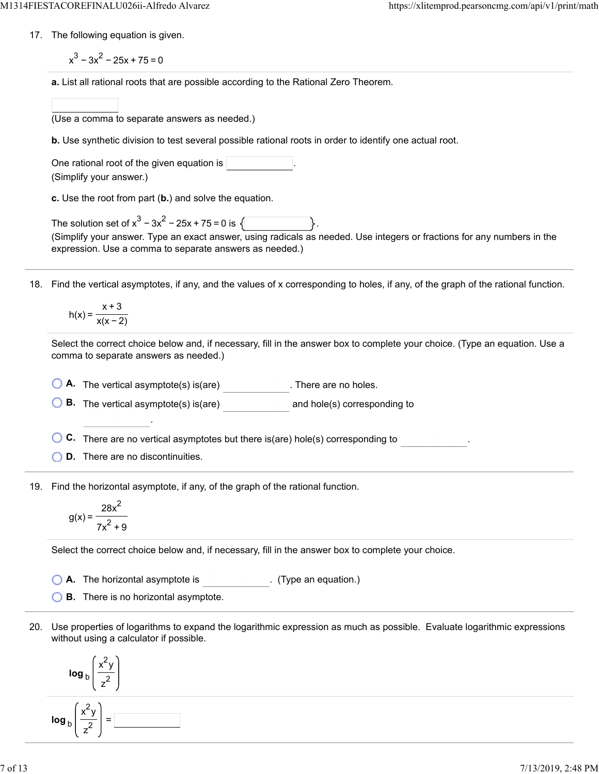17. The following equation is given.

 $x^3 - 3x^2 - 25x + 75 = 0$ 

**a.** List all rational roots that are possible according to the Rational Zero Theorem.

(Use a comma to separate answers as needed.)

**b.** Use synthetic division to test several possible rational roots in order to identify one actual root.

One rational root of the given equation is  $|$ (Simplify your answer.)

**c.** Use the root from part (**b.**) and solve the equation.

The solution set of  $x^3 - 3x^2 - 25x + 75 = 0$  is  $\sqrt{2}$ (Simplify your answer. Type an exact answer, using radicals as needed. Use integers or fractions for any numbers in the expression. Use a comma to separate answers as needed.)

18. Find the vertical asymptotes, if any, and the values of x corresponding to holes, if any, of the graph of the rational function.

$$
h(x) = \frac{x+3}{x(x-2)}
$$

Select the correct choice below and, if necessary, fill in the answer box to complete your choice. (Type an equation. Use a comma to separate answers as needed.)

**A.** The vertical asymptote(s) is(are) . There are no holes.

**B.** The vertical asymptote(s) is(are) and hole(s) corresponding to

**C.** There are no vertical asymptotes but there is(are) hole(s) corresponding to

**D.** There are no discontinuities.

.

19. Find the horizontal asymptote, if any, of the graph of the rational function.

$$
g(x) = \frac{28x^2}{7x^2 + 9}
$$

Select the correct choice below and, if necessary, fill in the answer box to complete your choice.

**A.** The horizontal asymptote is . (Type an equation.)

**B.** There is no horizontal asymptote.

20. Use properties of logarithms to expand the logarithmic expression as much as possible. Evaluate logarithmic expressions without using a calculator if possible.

$$
\log_{b}\left(\frac{x^{2}y}{z^{2}}\right)
$$
\n
$$
\log_{b}\left(\frac{x^{2}y}{z^{2}}\right) = \boxed{}
$$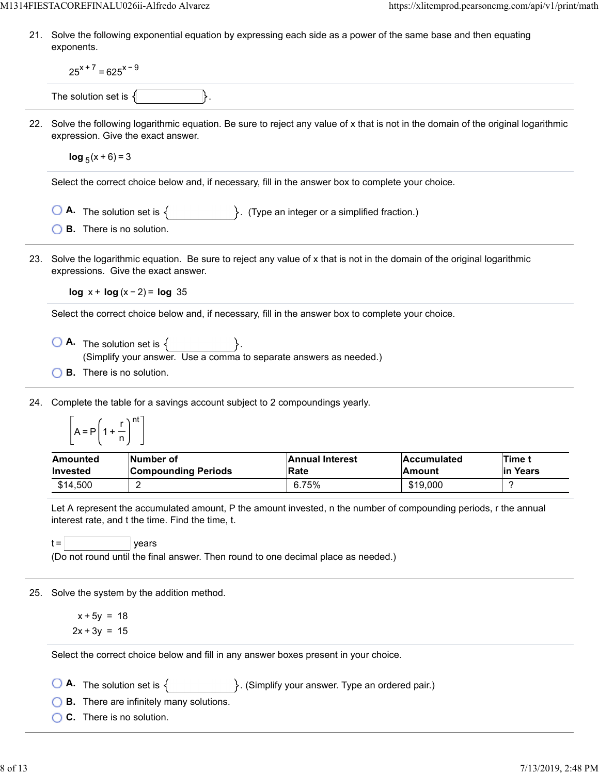21. Solve the following exponential equation by expressing each side as a power of the same base and then equating exponents.

|     | $25^{x+7}$ = 625 <sup>x-9</sup>                                                                                                                                                                                                                                             |                                                                                                                                           |  |                                |                                                                                                                        |                    |  |  |
|-----|-----------------------------------------------------------------------------------------------------------------------------------------------------------------------------------------------------------------------------------------------------------------------------|-------------------------------------------------------------------------------------------------------------------------------------------|--|--------------------------------|------------------------------------------------------------------------------------------------------------------------|--------------------|--|--|
|     | The solution set is $\{$                                                                                                                                                                                                                                                    |                                                                                                                                           |  |                                |                                                                                                                        |                    |  |  |
| 22. | Solve the following logarithmic equation. Be sure to reject any value of x that is not in the domain of the original logarithmic<br>expression. Give the exact answer.                                                                                                      |                                                                                                                                           |  |                                |                                                                                                                        |                    |  |  |
|     | $\log_5(x+6) = 3$                                                                                                                                                                                                                                                           |                                                                                                                                           |  |                                |                                                                                                                        |                    |  |  |
|     | Select the correct choice below and, if necessary, fill in the answer box to complete your choice.                                                                                                                                                                          |                                                                                                                                           |  |                                |                                                                                                                        |                    |  |  |
|     | <b>A.</b> The solution set is $\{$ $\}$ . (Type an integer or a simplified fraction.)                                                                                                                                                                                       |                                                                                                                                           |  |                                |                                                                                                                        |                    |  |  |
|     | <b>B.</b> There is no solution.                                                                                                                                                                                                                                             |                                                                                                                                           |  |                                |                                                                                                                        |                    |  |  |
| 23. |                                                                                                                                                                                                                                                                             | expressions. Give the exact answer.                                                                                                       |  |                                | Solve the logarithmic equation. Be sure to reject any value of x that is not in the domain of the original logarithmic |                    |  |  |
|     |                                                                                                                                                                                                                                                                             | $log x + log(x - 2) = log 35$                                                                                                             |  |                                |                                                                                                                        |                    |  |  |
|     | Select the correct choice below and, if necessary, fill in the answer box to complete your choice.                                                                                                                                                                          |                                                                                                                                           |  |                                |                                                                                                                        |                    |  |  |
|     | <b>B.</b> There is no solution.                                                                                                                                                                                                                                             | $\begin{bmatrix} 0 & A \end{bmatrix}$ The solution set is $\{ \}$ .<br>(Simplify your answer. Use a comma to separate answers as needed.) |  |                                |                                                                                                                        |                    |  |  |
| 24. | Complete the table for a savings account subject to 2 compoundings yearly.<br>$A = P\left(1 + \frac{r}{n}\right)^{nt}$                                                                                                                                                      |                                                                                                                                           |  |                                |                                                                                                                        |                    |  |  |
|     | <b>Amounted</b><br><b>Invested</b>                                                                                                                                                                                                                                          | Number of<br><b>Compounding Periods</b>                                                                                                   |  | <b>Annual Interest</b><br>Rate | <b>Accumulated</b><br>Amount                                                                                           | Time t<br>in Years |  |  |
|     | \$14,500                                                                                                                                                                                                                                                                    | 2                                                                                                                                         |  | 6.75%                          | \$19,000                                                                                                               | ?                  |  |  |
|     | Let A represent the accumulated amount, P the amount invested, n the number of compounding periods, r the annual<br>interest rate, and t the time. Find the time, t.<br>$t =$<br>years<br>(Do not round until the final answer. Then round to one decimal place as needed.) |                                                                                                                                           |  |                                |                                                                                                                        |                    |  |  |
|     |                                                                                                                                                                                                                                                                             | 25. Solve the system by the addition method.                                                                                              |  |                                |                                                                                                                        |                    |  |  |
|     | $x + 5y = 18$                                                                                                                                                                                                                                                               |                                                                                                                                           |  |                                |                                                                                                                        |                    |  |  |
|     | $2x + 3y = 15$                                                                                                                                                                                                                                                              |                                                                                                                                           |  |                                |                                                                                                                        |                    |  |  |
|     | Select the correct choice below and fill in any answer boxes present in your choice.                                                                                                                                                                                        |                                                                                                                                           |  |                                |                                                                                                                        |                    |  |  |
|     | <b>A.</b> The solution set is $\{$ $\}$ . (Simplify your answer. Type an ordered pair.)                                                                                                                                                                                     |                                                                                                                                           |  |                                |                                                                                                                        |                    |  |  |
|     | <b>B.</b> There are infinitely many solutions.                                                                                                                                                                                                                              |                                                                                                                                           |  |                                |                                                                                                                        |                    |  |  |
|     | C. There is no solution.                                                                                                                                                                                                                                                    |                                                                                                                                           |  |                                |                                                                                                                        |                    |  |  |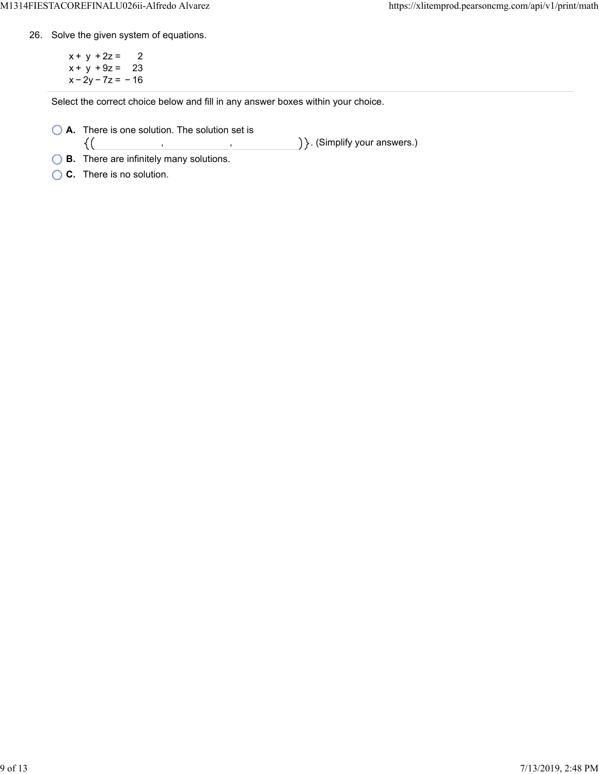26. Solve the given system of equations.

 $x + y + 2z = 2$  $x + y + 9z = 23$  $x - 2y - 7z = -16$ 

Select the correct choice below and fill in any answer boxes within your choice.

**A.** There is one solution. The solution set is  $\{(\}$ 

) }. (Simplify your answers.) , ,

**B.** There are infinitely many solutions.

**C.** There is no solution.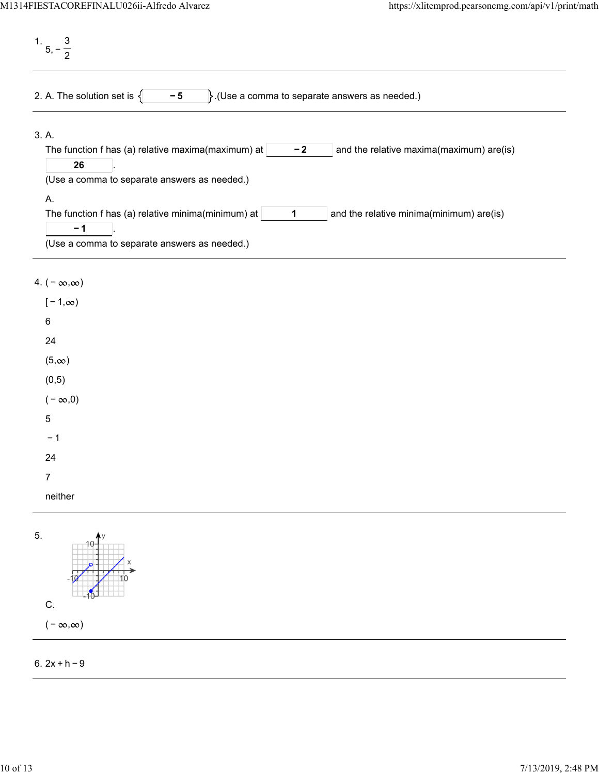1. 5, − 3 2 2. A. The solution set is  $\begin{cases} \begin{matrix} -5 \end{matrix} \end{cases}$ . (Use a comma to separate answers as needed.) 3. A. The function f has (a) relative maxima(maximum) at  $\vert$   $\vert$   $\vert$   $\vert$   $\vert$   $\vert$  and the relative maxima(maximum) are(is) . **− 2 26** (Use a comma to separate answers as needed.) A. The function f has (a) relative minima(minimum) at  $\vert$  1  $\vert$  and the relative minima(minimum) are(is) . **1 − 1** (Use a comma to separate answers as needed.)

## 4.  $(-\infty, \infty)$

| $[-1, \infty)$ |  |  |
|----------------|--|--|
| 6              |  |  |
| 24             |  |  |
| $(5, \infty)$  |  |  |
| (0, 5)         |  |  |
| $(-\infty,0)$  |  |  |
| 5              |  |  |
| $-1$           |  |  |
| 24             |  |  |
| 7              |  |  |
| neither        |  |  |
|                |  |  |



## 6. 2x + h − 9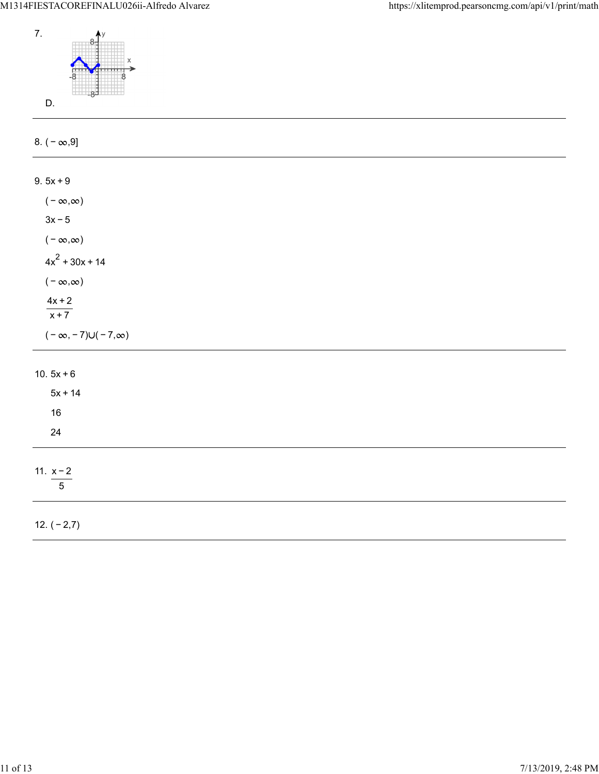

12. ( − 2,7)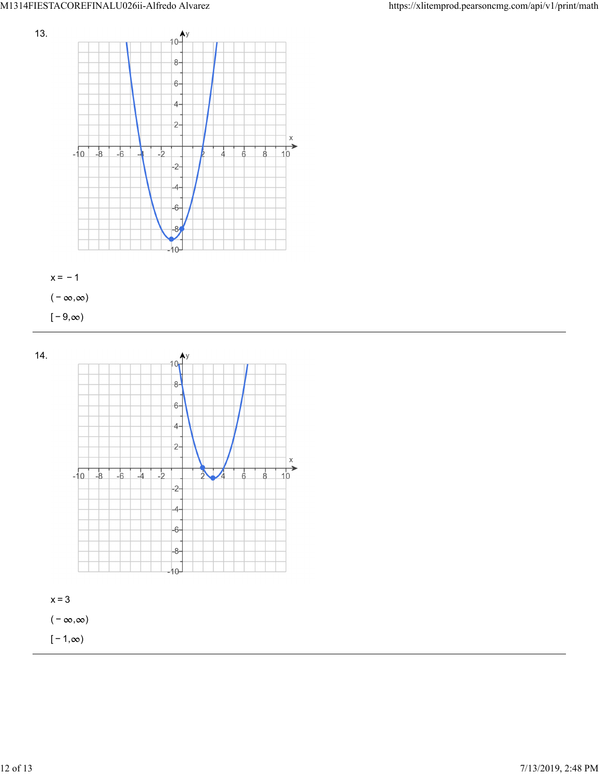







 $[-1, \infty)$